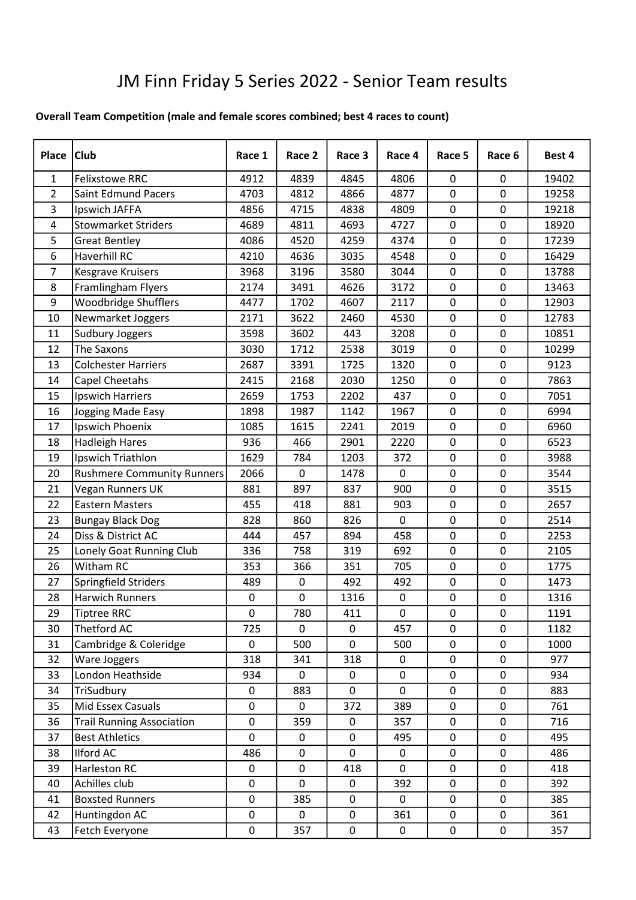## JM Finn Friday 5 Series 2022 - Senior Team results

## Overall Team Competition (male and female scores combined; best 4 races to count)

| Place          | <b>Club</b>                      | Race 1 | Race 2 | Race 3      | Race 4      | Race 5      | Race 6         | Best 4 |
|----------------|----------------------------------|--------|--------|-------------|-------------|-------------|----------------|--------|
| $\mathbf{1}$   | <b>Felixstowe RRC</b>            | 4912   | 4839   | 4845        | 4806        | 0           | $\mathbf 0$    | 19402  |
| $\overline{2}$ | <b>Saint Edmund Pacers</b>       | 4703   | 4812   | 4866        | 4877        | $\mathbf 0$ | $\overline{0}$ | 19258  |
| 3              | Ipswich JAFFA                    | 4856   | 4715   | 4838        | 4809        | 0           | 0              | 19218  |
| 4              | <b>Stowmarket Striders</b>       | 4689   | 4811   | 4693        | 4727        | $\mathbf 0$ | $\overline{0}$ | 18920  |
| 5              | <b>Great Bentley</b>             | 4086   | 4520   | 4259        | 4374        | 0           | $\mathbf 0$    | 17239  |
| 6              | <b>Haverhill RC</b>              | 4210   | 4636   | 3035        | 4548        | $\pmb{0}$   | $\mathbf 0$    | 16429  |
| $\overline{7}$ | <b>Kesgrave Kruisers</b>         | 3968   | 3196   | 3580        | 3044        | $\pmb{0}$   | $\mathbf 0$    | 13788  |
| 8              | Framlingham Flyers               | 2174   | 3491   | 4626        | 3172        | 0           | 0              | 13463  |
| 9              | Woodbridge Shufflers             | 4477   | 1702   | 4607        | 2117        | 0           | $\mathbf 0$    | 12903  |
| 10             | Newmarket Joggers                | 2171   | 3622   | 2460        | 4530        | 0           | 0              | 12783  |
| 11             | Sudbury Joggers                  | 3598   | 3602   | 443         | 3208        | $\mathbf 0$ | $\overline{0}$ | 10851  |
| 12             | The Saxons                       | 3030   | 1712   | 2538        | 3019        | $\pmb{0}$   | $\mathbf 0$    | 10299  |
| 13             | <b>Colchester Harriers</b>       | 2687   | 3391   | 1725        | 1320        | 0           | $\mathbf 0$    | 9123   |
| 14             | Capel Cheetahs                   | 2415   | 2168   | 2030        | 1250        | $\pmb{0}$   | $\mathbf 0$    | 7863   |
| 15             | Ipswich Harriers                 | 2659   | 1753   | 2202        | 437         | 0           | 0              | 7051   |
| 16             | Jogging Made Easy                | 1898   | 1987   | 1142        | 1967        | $\mathbf 0$ | $\overline{0}$ | 6994   |
| 17             | Ipswich Phoenix                  | 1085   | 1615   | 2241        | 2019        | $\pmb{0}$   | $\mathbf 0$    | 6960   |
| 18             | <b>Hadleigh Hares</b>            | 936    | 466    | 2901        | 2220        | $\pmb{0}$   | $\mathbf 0$    | 6523   |
| 19             | Ipswich Triathlon                | 1629   | 784    | 1203        | 372         | $\pmb{0}$   | $\mathbf 0$    | 3988   |
| 20             | Rushmere Community Runners       | 2066   | 0      | 1478        | 0           | 0           | $\mathbf 0$    | 3544   |
| 21             | Vegan Runners UK                 | 881    | 897    | 837         | 900         | $\pmb{0}$   | $\overline{0}$ | 3515   |
| 22             | <b>Eastern Masters</b>           | 455    | 418    | 881         | 903         | 0           | 0              | 2657   |
| 23             | <b>Bungay Black Dog</b>          | 828    | 860    | 826         | $\mathbf 0$ | $\mathbf 0$ | $\overline{0}$ | 2514   |
| 24             | Diss & District AC               | 444    | 457    | 894         | 458         | $\pmb{0}$   | $\mathbf 0$    | 2253   |
| 25             | Lonely Goat Running Club         | 336    | 758    | 319         | 692         | $\pmb{0}$   | $\mathbf 0$    | 2105   |
| 26             | Witham RC                        | 353    | 366    | 351         | 705         | $\pmb{0}$   | $\mathbf 0$    | 1775   |
| 27             | Springfield Striders             | 489    | 0      | 492         | 492         | 0           | $\mathbf 0$    | 1473   |
| 28             | <b>Harwich Runners</b>           | 0      | 0      | 1316        | $\pmb{0}$   | $\pmb{0}$   | $\mathbf 0$    | 1316   |
| 29             | <b>Tiptree RRC</b>               | 0      | 780    | 411         | $\pmb{0}$   | $\pmb{0}$   | $\pmb{0}$      | 1191   |
| 30             | Thetford AC                      | 725    | 0      | 0           | 457         | 0           | $\mathbf 0$    | 1182   |
| 31             | Cambridge & Coleridge            | 0      | 500    | 0           | 500         | 0           | 0              | 1000   |
| 32             | Ware Joggers                     | 318    | 341    | 318         | $\mathbf 0$ | 0           | $\pmb{0}$      | 977    |
| 33             | London Heathside                 | 934    | 0      | 0           | $\mathbf 0$ | 0           | $\mathbf 0$    | 934    |
| 34             | TriSudbury                       | 0      | 883    | 0           | 0           | $\pmb{0}$   | 0              | 883    |
| 35             | Mid Essex Casuals                | 0      | 0      | 372         | 389         | $\pmb{0}$   | 0              | 761    |
| 36             | <b>Trail Running Association</b> | 0      | 359    | 0           | 357         | $\pmb{0}$   | 0              | 716    |
| 37             | <b>Best Athletics</b>            | 0      | 0      | 0           | 495         | 0           | 0              | 495    |
| 38             | Ilford AC                        | 486    | 0      | 0           | 0           | $\pmb{0}$   | $\mathbf 0$    | 486    |
| 39             | <b>Harleston RC</b>              | 0      | 0      | 418         | 0           | $\pmb{0}$   | 0              | 418    |
| 40             | Achilles club                    | 0      | 0      | 0           | 392         | 0           | 0              | 392    |
| 41             | <b>Boxsted Runners</b>           | 0      | 385    | 0           | 0           | 0           | 0              | 385    |
| 42             | Huntingdon AC                    | 0      | 0      | $\mathbf 0$ | 361         | 0           | $\mathbf 0$    | 361    |
| 43             | Fetch Everyone                   | 0      | 357    | 0           | 0           | $\pmb{0}$   | 0              | 357    |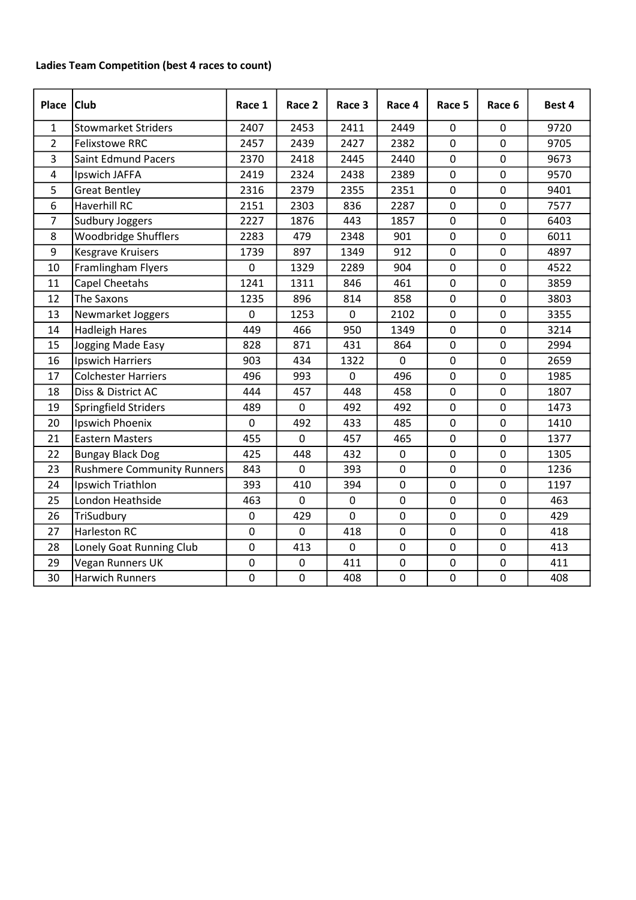## Ladies Team Competition (best 4 races to count)

| Place          | <b>Club</b>                       | Race 1         | Race 2      | Race 3         | Race 4         | Race 5         | Race 6         | Best 4 |
|----------------|-----------------------------------|----------------|-------------|----------------|----------------|----------------|----------------|--------|
| $\mathbf{1}$   | <b>Stowmarket Striders</b>        | 2407           | 2453        | 2411           | 2449           | 0              | 0              | 9720   |
| $\overline{2}$ | <b>Felixstowe RRC</b>             | 2457           | 2439        | 2427           | 2382           | $\mathbf 0$    | $\overline{0}$ | 9705   |
| 3              | Saint Edmund Pacers               | 2370           | 2418        | 2445           | 2440           | $\mathbf 0$    | $\overline{0}$ | 9673   |
| 4              | Ipswich JAFFA                     | 2419           | 2324        | 2438           | 2389           | $\mathbf 0$    | $\mathbf 0$    | 9570   |
| 5              | <b>Great Bentley</b>              | 2316           | 2379        | 2355           | 2351           | $\mathbf 0$    | $\overline{0}$ | 9401   |
| 6              | <b>Haverhill RC</b>               | 2151           | 2303        | 836            | 2287           | $\mathbf 0$    | $\Omega$       | 7577   |
| $\overline{7}$ | Sudbury Joggers                   | 2227           | 1876        | 443            | 1857           | 0              | $\mathbf 0$    | 6403   |
| 8              | Woodbridge Shufflers              | 2283           | 479         | 2348           | 901            | $\mathbf 0$    | $\overline{0}$ | 6011   |
| 9              | <b>Kesgrave Kruisers</b>          | 1739           | 897         | 1349           | 912            | $\mathbf 0$    | $\overline{0}$ | 4897   |
| 10             | Framlingham Flyers                | 0              | 1329        | 2289           | 904            | $\mathbf 0$    | $\mathbf 0$    | 4522   |
| 11             | Capel Cheetahs                    | 1241           | 1311        | 846            | 461            | 0              | $\mathbf 0$    | 3859   |
| 12             | The Saxons                        | 1235           | 896         | 814            | 858            | $\mathbf 0$    | $\overline{0}$ | 3803   |
| 13             | Newmarket Joggers                 | 0              | 1253        | $\mathbf 0$    | 2102           | $\mathbf 0$    | $\overline{0}$ | 3355   |
| 14             | <b>Hadleigh Hares</b>             | 449            | 466         | 950            | 1349           | 0              | $\mathbf 0$    | 3214   |
| 15             | Jogging Made Easy                 | 828            | 871         | 431            | 864            | $\mathbf 0$    | $\mathbf 0$    | 2994   |
| 16             | <b>Ipswich Harriers</b>           | 903            | 434         | 1322           | $\overline{0}$ | $\mathbf 0$    | $\overline{0}$ | 2659   |
| 17             | <b>Colchester Harriers</b>        | 496            | 993         | $\mathbf 0$    | 496            | $\mathbf 0$    | $\mathbf 0$    | 1985   |
| 18             | Diss & District AC                | 444            | 457         | 448            | 458            | $\mathbf 0$    | $\overline{0}$ | 1807   |
| 19             | Springfield Striders              | 489            | 0           | 492            | 492            | $\mathbf 0$    | $\overline{0}$ | 1473   |
| 20             | Ipswich Phoenix                   | 0              | 492         | 433            | 485            | $\pmb{0}$      | $\mathbf 0$    | 1410   |
| 21             | <b>Eastern Masters</b>            | 455            | 0           | 457            | 465            | $\pmb{0}$      | $\overline{0}$ | 1377   |
| 22             | <b>Bungay Black Dog</b>           | 425            | 448         | 432            | $\mathbf 0$    | $\mathbf 0$    | $\overline{0}$ | 1305   |
| 23             | <b>Rushmere Community Runners</b> | 843            | $\mathbf 0$ | 393            | $\mathbf 0$    | $\mathbf 0$    | $\overline{0}$ | 1236   |
| 24             | Ipswich Triathlon                 | 393            | 410         | 394            | 0              | 0              | $\mathbf 0$    | 1197   |
| 25             | London Heathside                  | 463            | 0           | $\mathbf 0$    | $\mathbf 0$    | 0              | $\overline{0}$ | 463    |
| 26             | TriSudbury                        | 0              | 429         | 0              | $\mathbf 0$    | $\mathbf 0$    | $\mathbf 0$    | 429    |
| 27             | <b>Harleston RC</b>               | 0              | 0           | 418            | $\pmb{0}$      | $\pmb{0}$      | 0              | 418    |
| 28             | Lonely Goat Running Club          | $\overline{0}$ | 413         | $\overline{0}$ | $\overline{0}$ | $\overline{0}$ | $\overline{0}$ | 413    |
| 29             | Vegan Runners UK                  | 0              | $\mathbf 0$ | 411            | $\mathbf 0$    | $\mathbf 0$    | $\mathbf 0$    | 411    |
| 30             | <b>Harwich Runners</b>            | 0              | $\mathbf 0$ | 408            | $\mathbf 0$    | $\mathbf 0$    | $\mathbf 0$    | 408    |